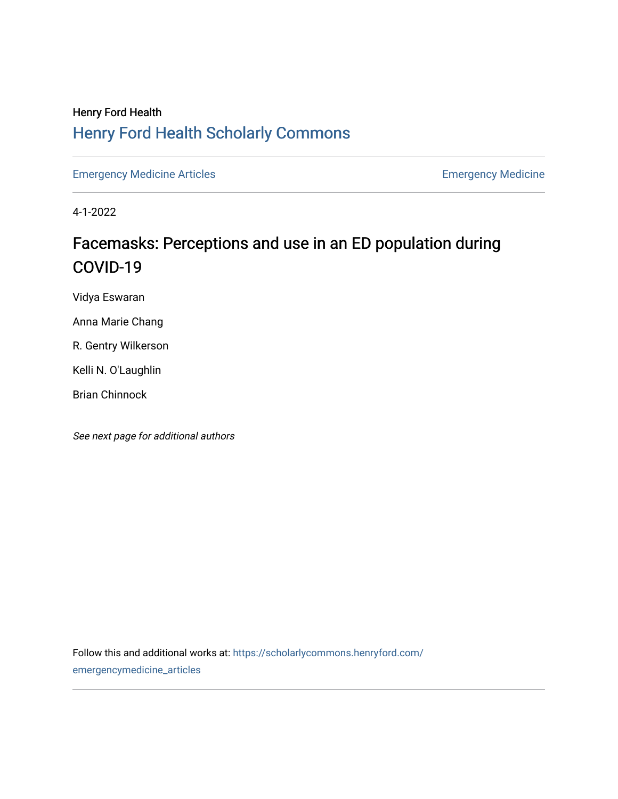## Henry Ford Health [Henry Ford Health Scholarly Commons](https://scholarlycommons.henryford.com/)

[Emergency Medicine Articles](https://scholarlycommons.henryford.com/emergencymedicine_articles) **Emergency Medicine** 

4-1-2022

## Facemasks: Perceptions and use in an ED population during COVID-19

Vidya Eswaran

Anna Marie Chang

R. Gentry Wilkerson

Kelli N. O'Laughlin

Brian Chinnock

See next page for additional authors

Follow this and additional works at: [https://scholarlycommons.henryford.com/](https://scholarlycommons.henryford.com/emergencymedicine_articles?utm_source=scholarlycommons.henryford.com%2Femergencymedicine_articles%2F274&utm_medium=PDF&utm_campaign=PDFCoverPages) [emergencymedicine\\_articles](https://scholarlycommons.henryford.com/emergencymedicine_articles?utm_source=scholarlycommons.henryford.com%2Femergencymedicine_articles%2F274&utm_medium=PDF&utm_campaign=PDFCoverPages)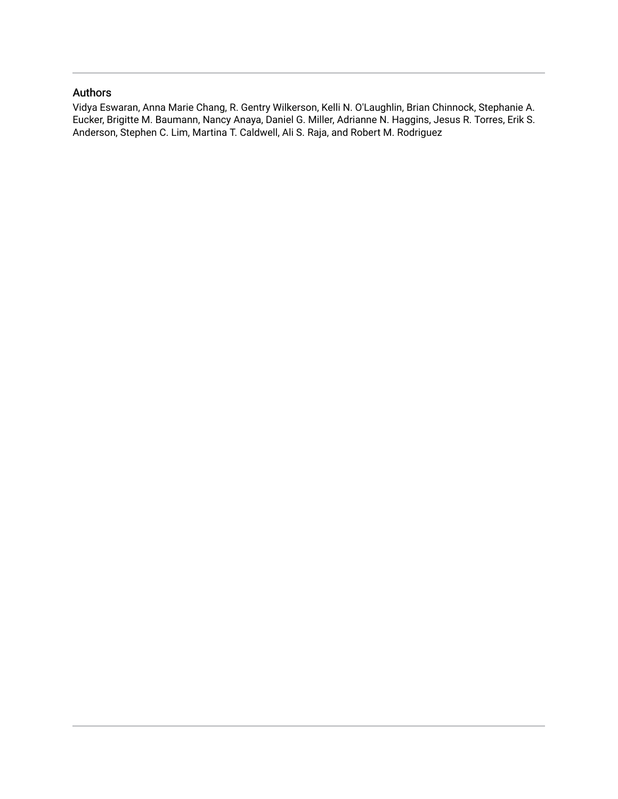#### Authors

Vidya Eswaran, Anna Marie Chang, R. Gentry Wilkerson, Kelli N. O'Laughlin, Brian Chinnock, Stephanie A. Eucker, Brigitte M. Baumann, Nancy Anaya, Daniel G. Miller, Adrianne N. Haggins, Jesus R. Torres, Erik S. Anderson, Stephen C. Lim, Martina T. Caldwell, Ali S. Raja, and Robert M. Rodriguez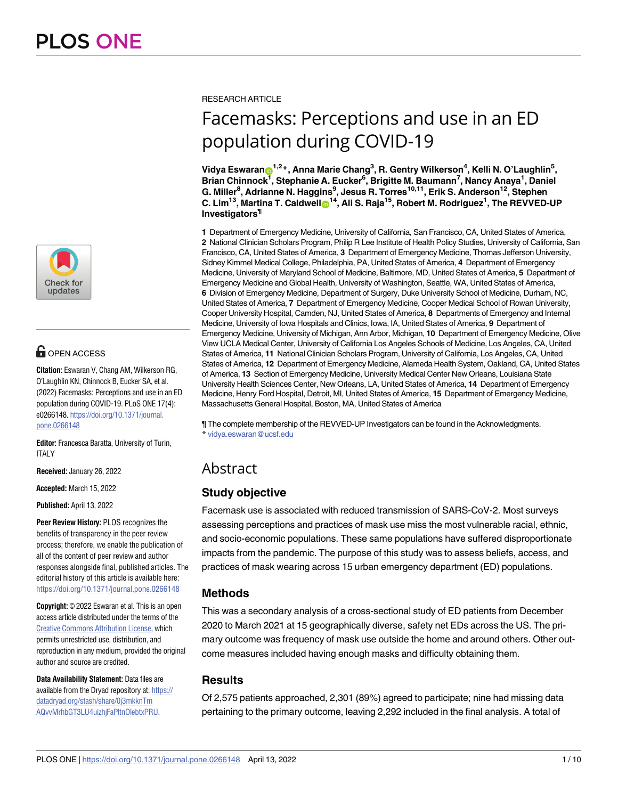

### **G** OPEN ACCESS

**Citation:** Eswaran V, Chang AM, Wilkerson RG, O'Laughlin KN, Chinnock B, Eucker SA, et al. (2022) Facemasks: Perceptions and use in an ED population during COVID-19. PLoS ONE 17(4): e0266148. [https://doi.org/10.1371/journal.](https://doi.org/10.1371/journal.pone.0266148) [pone.0266148](https://doi.org/10.1371/journal.pone.0266148)

**Editor:** Francesca Baratta, University of Turin, ITALY

**Received:** January 26, 2022

**Accepted:** March 15, 2022

**Published:** April 13, 2022

**Peer Review History:** PLOS recognizes the benefits of transparency in the peer review process; therefore, we enable the publication of all of the content of peer review and author responses alongside final, published articles. The editorial history of this article is available here: <https://doi.org/10.1371/journal.pone.0266148>

**Copyright:** © 2022 Eswaran et al. This is an open access article distributed under the terms of the Creative Commons [Attribution](http://creativecommons.org/licenses/by/4.0/) License, which permits unrestricted use, distribution, and reproduction in any medium, provided the original author and source are credited.

**Data Availability Statement:** Data files are available from the Dryad repository at: [https://](https://datadryad.org/stash/share/0j3mkknTmAQvvMrhbGT3LU4uizhjFaPltnOlebtxPRU) [datadryad.org/stash/share/0j3mkknTm](https://datadryad.org/stash/share/0j3mkknTmAQvvMrhbGT3LU4uizhjFaPltnOlebtxPRU) [AQvvMrhbGT3LU4uizhjFaPltnOlebtxPRU.](https://datadryad.org/stash/share/0j3mkknTmAQvvMrhbGT3LU4uizhjFaPltnOlebtxPRU)

#### RESEARCH ARTICLE

# Facemasks: Perceptions and use in an ED population during COVID-19

 $\blacksquare$ Vidya Eswaran $\blacksquare^{1,2}$ \*, Anna Marie Chang $^3$ , R. Gentry Wilkerson $^4$ , Kelli N. O'Laughlin $^5$ , **Brian Chinnock1 , Stephanie A. Eucker6 , Brigitte M. Baumann7 , Nancy Anaya1 , Daniel G. Miller8 , Adrianne N. Haggins9 , Jesus R. Torres10,11, Erik S. Anderson12, Stephen**  $C.$  **Lim<sup>13</sup>, Martina T. Caldwell** $\odot$ **<sup>14</sup>, Ali S. Raja<sup>15</sup>, Robert M. Rodriguez<sup>1</sup>, The REVVED-UP Investigators¶**

**1** Department of Emergency Medicine, University of California, San Francisco, CA, United States of America, **2** National Clinician Scholars Program, Philip R Lee Institute of Health Policy Studies, University of California, San Francisco, CA, United States of America, **3** Department of Emergency Medicine, Thomas Jefferson University, Sidney Kimmel Medical College, Philadelphia, PA, United States of America, **4** Department of Emergency Medicine, University of Maryland School of Medicine, Baltimore, MD, United States of America, **5** Department of Emergency Medicine and Global Health, University of Washington, Seattle, WA, United States of America, **6** Division of Emergency Medicine, Department of Surgery, Duke University School of Medicine, Durham, NC, United States of America, **7** Department of Emergency Medicine, Cooper Medical School of Rowan University, Cooper University Hospital, Camden, NJ, United States of America, **8** Departments of Emergency and Internal Medicine, University of Iowa Hospitals and Clinics, Iowa, IA, United States of America, **9** Department of Emergency Medicine, University of Michigan, Ann Arbor, Michigan, **10** Department of Emergency Medicine, Olive View UCLA Medical Center, University of California Los Angeles Schools of Medicine, Los Angeles, CA, United States of America, **11** National Clinician Scholars Program, University of California, Los Angeles, CA, United States of America, **12** Department of Emergency Medicine, Alameda Health System, Oakland, CA, United States of America, **13** Section of Emergency Medicine, University Medical Center New Orleans, Louisiana State University Health Sciences Center, New Orleans, LA, United States of America, **14** Department of Emergency Medicine, Henry Ford Hospital, Detroit, MI, United States of America, **15** Department of Emergency Medicine, Massachusetts General Hospital, Boston, MA, United States of America

¶ The complete membership of the REVVED-UP Investigators can be found in the Acknowledgments. \* vidya.eswaran@ucsf.edu

### Abstract

#### **Study objective**

Facemask use is associated with reduced transmission of SARS-CoV-2. Most surveys assessing perceptions and practices of mask use miss the most vulnerable racial, ethnic, and socio-economic populations. These same populations have suffered disproportionate impacts from the pandemic. The purpose of this study was to assess beliefs, access, and practices of mask wearing across 15 urban emergency department (ED) populations.

#### **Methods**

This was a secondary analysis of a cross-sectional study of ED patients from December 2020 to March 2021 at 15 geographically diverse, safety net EDs across the US. The primary outcome was frequency of mask use outside the home and around others. Other outcome measures included having enough masks and difficulty obtaining them.

#### **Results**

Of 2,575 patients approached, 2,301 (89%) agreed to participate; nine had missing data pertaining to the primary outcome, leaving 2,292 included in the final analysis. A total of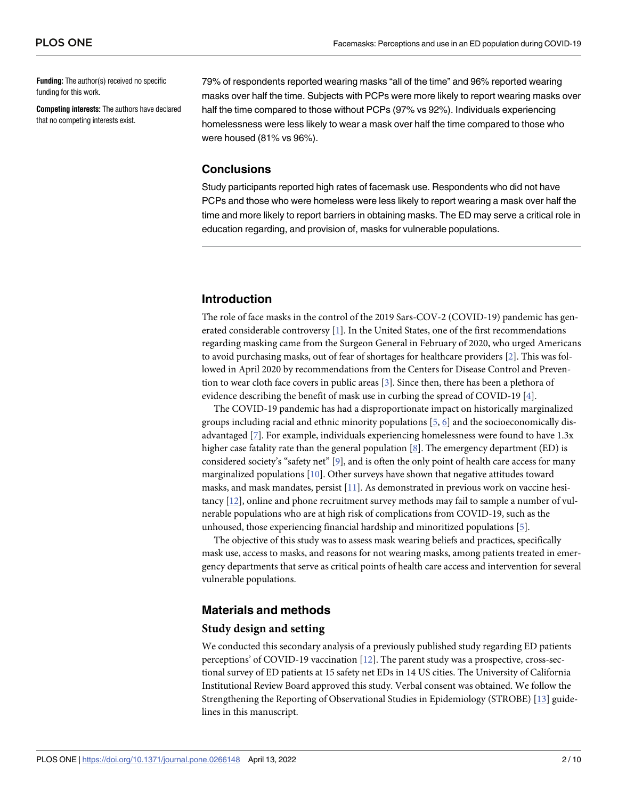<span id="page-3-0"></span>**Funding:** The author(s) received no specific funding for this work.

**Competing interests:** The authors have declared that no competing interests exist.

79% of respondents reported wearing masks "all of the time" and 96% reported wearing masks over half the time. Subjects with PCPs were more likely to report wearing masks over half the time compared to those without PCPs (97% vs 92%). Individuals experiencing homelessness were less likely to wear a mask over half the time compared to those who were housed (81% vs 96%).

#### **Conclusions**

Study participants reported high rates of facemask use. Respondents who did not have PCPs and those who were homeless were less likely to report wearing a mask over half the time and more likely to report barriers in obtaining masks. The ED may serve a critical role in education regarding, and provision of, masks for vulnerable populations.

#### **Introduction**

The role of face masks in the control of the 2019 Sars-COV-2 (COVID-19) pandemic has generated considerable controversy [\[1](#page-9-0)]. In the United States, one of the first recommendations regarding masking came from the Surgeon General in February of 2020, who urged Americans to avoid purchasing masks, out of fear of shortages for healthcare providers [[2\]](#page-10-0). This was followed in April 2020 by recommendations from the Centers for Disease Control and Prevention to wear cloth face covers in public areas [\[3\]](#page-10-0). Since then, there has been a plethora of evidence describing the benefit of mask use in curbing the spread of COVID-19 [[4](#page-10-0)].

The COVID-19 pandemic has had a disproportionate impact on historically marginalized groups including racial and ethnic minority populations  $[5, 6]$  $[5, 6]$  $[5, 6]$  $[5, 6]$  and the socioeconomically disadvantaged [\[7\]](#page-10-0). For example, individuals experiencing homelessness were found to have 1.3x higher case fatality rate than the general population [\[8\]](#page-10-0). The emergency department (ED) is considered society's "safety net" [\[9](#page-10-0)], and is often the only point of health care access for many marginalized populations [\[10\]](#page-10-0). Other surveys have shown that negative attitudes toward masks, and mask mandates, persist [\[11\]](#page-10-0). As demonstrated in previous work on vaccine hesitancy [\[12\]](#page-10-0), online and phone recruitment survey methods may fail to sample a number of vulnerable populations who are at high risk of complications from COVID-19, such as the unhoused, those experiencing financial hardship and minoritized populations [[5\]](#page-10-0).

The objective of this study was to assess mask wearing beliefs and practices, specifically mask use, access to masks, and reasons for not wearing masks, among patients treated in emergency departments that serve as critical points of health care access and intervention for several vulnerable populations.

#### **Materials and methods**

#### **Study design and setting**

We conducted this secondary analysis of a previously published study regarding ED patients perceptions' of COVID-19 vaccination [[12](#page-10-0)]. The parent study was a prospective, cross-sectional survey of ED patients at 15 safety net EDs in 14 US cities. The University of California Institutional Review Board approved this study. Verbal consent was obtained. We follow the Strengthening the Reporting of Observational Studies in Epidemiology (STROBE) [\[13](#page-10-0)] guidelines in this manuscript.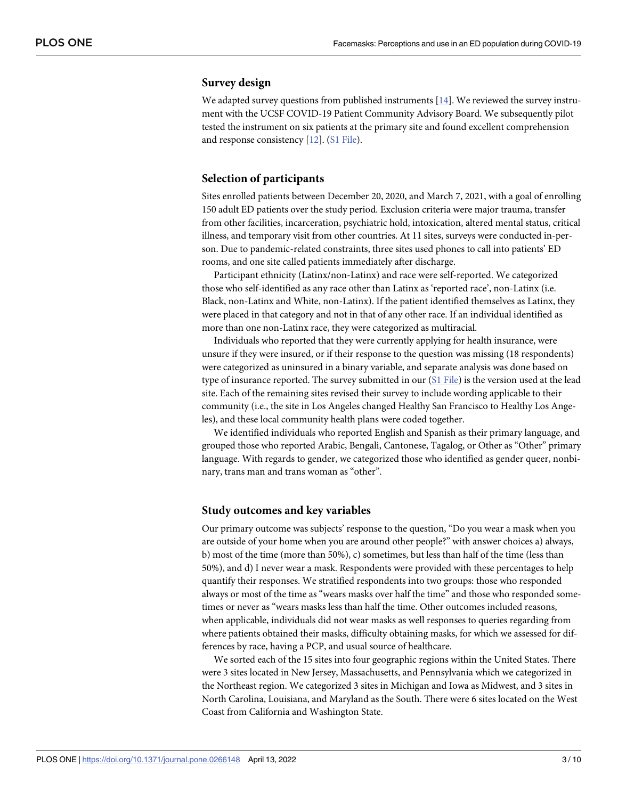#### <span id="page-4-0"></span>**Survey design**

We adapted survey questions from published instruments [[14](#page-10-0)]. We reviewed the survey instrument with the UCSF COVID-19 Patient Community Advisory Board. We subsequently pilot tested the instrument on six patients at the primary site and found excellent comprehension and response consistency [\[12\]](#page-10-0). (S1 [File\)](#page-9-0).

#### **Selection of participants**

Sites enrolled patients between December 20, 2020, and March 7, 2021, with a goal of enrolling 150 adult ED patients over the study period. Exclusion criteria were major trauma, transfer from other facilities, incarceration, psychiatric hold, intoxication, altered mental status, critical illness, and temporary visit from other countries. At 11 sites, surveys were conducted in-person. Due to pandemic-related constraints, three sites used phones to call into patients' ED rooms, and one site called patients immediately after discharge.

Participant ethnicity (Latinx/non-Latinx) and race were self-reported. We categorized those who self-identified as any race other than Latinx as 'reported race', non-Latinx (i.e. Black, non-Latinx and White, non-Latinx). If the patient identified themselves as Latinx, they were placed in that category and not in that of any other race. If an individual identified as more than one non-Latinx race, they were categorized as multiracial.

Individuals who reported that they were currently applying for health insurance, were unsure if they were insured, or if their response to the question was missing (18 respondents) were categorized as uninsured in a binary variable, and separate analysis was done based on type of insurance reported. The survey submitted in our (S1 [File](#page-9-0)) is the version used at the lead site. Each of the remaining sites revised their survey to include wording applicable to their community (i.e., the site in Los Angeles changed Healthy San Francisco to Healthy Los Angeles), and these local community health plans were coded together.

We identified individuals who reported English and Spanish as their primary language, and grouped those who reported Arabic, Bengali, Cantonese, Tagalog, or Other as "Other" primary language. With regards to gender, we categorized those who identified as gender queer, nonbinary, trans man and trans woman as "other".

#### **Study outcomes and key variables**

Our primary outcome was subjects' response to the question, "Do you wear a mask when you are outside of your home when you are around other people?" with answer choices a) always, b) most of the time (more than 50%), c) sometimes, but less than half of the time (less than 50%), and d) I never wear a mask. Respondents were provided with these percentages to help quantify their responses. We stratified respondents into two groups: those who responded always or most of the time as "wears masks over half the time" and those who responded sometimes or never as "wears masks less than half the time. Other outcomes included reasons, when applicable, individuals did not wear masks as well responses to queries regarding from where patients obtained their masks, difficulty obtaining masks, for which we assessed for differences by race, having a PCP, and usual source of healthcare.

We sorted each of the 15 sites into four geographic regions within the United States. There were 3 sites located in New Jersey, Massachusetts, and Pennsylvania which we categorized in the Northeast region. We categorized 3 sites in Michigan and Iowa as Midwest, and 3 sites in North Carolina, Louisiana, and Maryland as the South. There were 6 sites located on the West Coast from California and Washington State.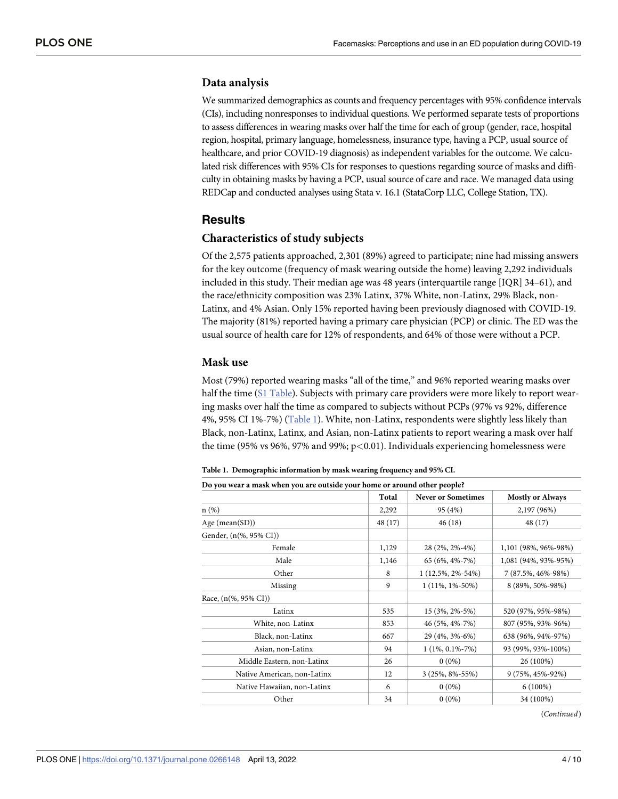#### **Data analysis**

We summarized demographics as counts and frequency percentages with 95% confidence intervals (CIs), including nonresponses to individual questions. We performed separate tests of proportions to assess differences in wearing masks over half the time for each of group (gender, race, hospital region, hospital, primary language, homelessness, insurance type, having a PCP, usual source of healthcare, and prior COVID-19 diagnosis) as independent variables for the outcome. We calculated risk differences with 95% CIs for responses to questions regarding source of masks and difficulty in obtaining masks by having a PCP, usual source of care and race. We managed data using REDCap and conducted analyses using Stata v. 16.1 (StataCorp LLC, College Station, TX).

#### **Results**

#### **Characteristics of study subjects**

Of the 2,575 patients approached, 2,301 (89%) agreed to participate; nine had missing answers for the key outcome (frequency of mask wearing outside the home) leaving 2,292 individuals included in this study. Their median age was 48 years (interquartile range [IQR] 34–61), and the race/ethnicity composition was 23% Latinx, 37% White, non-Latinx, 29% Black, non-Latinx, and 4% Asian. Only 15% reported having been previously diagnosed with COVID-19. The majority (81%) reported having a primary care physician (PCP) or clinic. The ED was the usual source of health care for 12% of respondents, and 64% of those were without a PCP.

#### **Mask use**

Most (79%) reported wearing masks "all of the time," and 96% reported wearing masks over half the time (S1 [Table](#page-9-0)). Subjects with primary care providers were more likely to report wearing masks over half the time as compared to subjects without PCPs (97% vs 92%, difference 4%, 95% CI 1%-7%) (Table 1). White, non-Latinx, respondents were slightly less likely than Black, non-Latinx, Latinx, and Asian, non-Latinx patients to report wearing a mask over half the time (95% vs 96%, 97% and 99%; p*<*0.01). Individuals experiencing homelessness were

**Table 1. Demographic information by mask wearing frequency and 95% CI.**

| Do you wear a mask when you are outside your home or around other people? |         |                           |                         |  |
|---------------------------------------------------------------------------|---------|---------------------------|-------------------------|--|
|                                                                           | Total   | <b>Never or Sometimes</b> | <b>Mostly or Always</b> |  |
| $n(\%)$                                                                   | 2,292   | 95 (4%)                   | 2,197 (96%)             |  |
| Age (mean(SD))                                                            | 48 (17) | 46(18)                    | 48 (17)                 |  |
| Gender, (n(%, 95% CI))                                                    |         |                           |                         |  |
| Female                                                                    | 1,129   | 28 (2%, 2%-4%)            | 1,101 (98%, 96%-98%)    |  |
| Male                                                                      | 1,146   | 65 (6%, 4%-7%)            | 1,081 (94%, 93%-95%)    |  |
| Other                                                                     | 8       | $1(12.5\%, 2\% - 54\%)$   | 7 (87.5%, 46%-98%)      |  |
| Missing                                                                   | 9       | $1(11\%, 1\% - 50\%)$     | 8 (89%, 50%-98%)        |  |
| Race, (n(%, 95% CI))                                                      |         |                           |                         |  |
| Latinx                                                                    | 535     | $15(3\%, 2\% - 5\%)$      | 520 (97%, 95%-98%)      |  |
| White, non-Latinx                                                         | 853     | 46 (5%, 4%-7%)            | 807 (95%, 93%-96%)      |  |
| Black, non-Latinx                                                         | 667     | 29 (4%, 3%-6%)            | 638 (96%, 94%-97%)      |  |
| Asian, non-Latinx                                                         | 94      | $1(1\%, 0.1\% - 7\%)$     | 93 (99%, 93%-100%)      |  |
| Middle Eastern, non-Latinx                                                | 26      | $0(0\%)$                  | 26 (100%)               |  |
| Native American, non-Latinx                                               | 12      | $3(25\%, 8\% - 55\%)$     | 9 (75%, 45%-92%)        |  |
| Native Hawaiian, non-Latinx                                               | 6       | $0(0\%)$                  | $6(100\%)$              |  |
| Other                                                                     | 34      | $0(0\%)$                  | 34 (100%)               |  |

(*Continued*)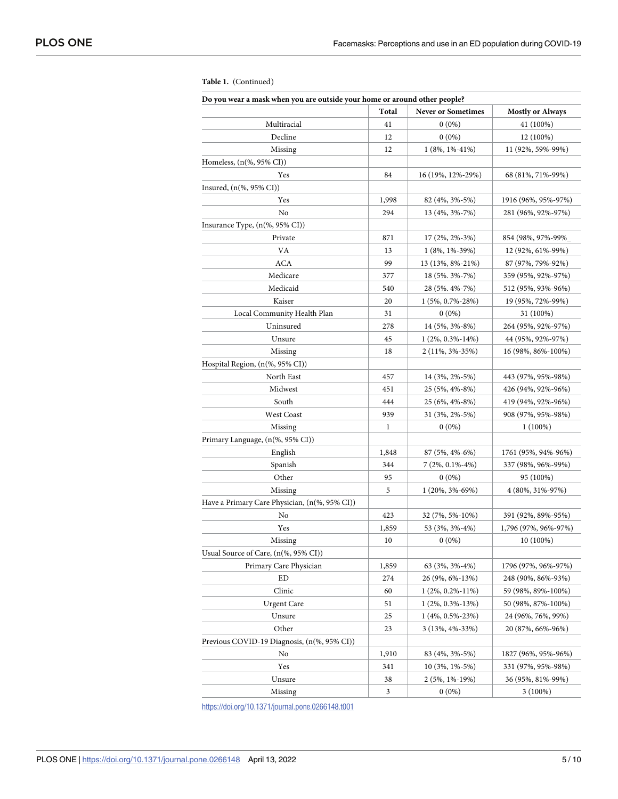| Do you wear a mask when you are outside your home or around other people? |       |                           |                         |  |
|---------------------------------------------------------------------------|-------|---------------------------|-------------------------|--|
|                                                                           | Total | <b>Never or Sometimes</b> | <b>Mostly or Always</b> |  |
| Multiracial                                                               | 41    | $0(0\%)$                  | 41 (100%)               |  |
| Decline                                                                   | 12    | $0(0\%)$                  | 12 (100%)               |  |
| Missing                                                                   | 12    | $1(8\%, 1\% - 41\%)$      | 11 (92%, 59%-99%)       |  |
| Homeless, $(n(\%, 95\% \text{ CI}))$                                      |       |                           |                         |  |
| Yes                                                                       | 84    | 16 (19%, 12%-29%)         | 68 (81%, 71%-99%)       |  |
| Insured, $(n(\%, 95\% \text{ CI}))$                                       |       |                           |                         |  |
| Yes                                                                       | 1,998 | 82 (4%, 3%-5%)            | 1916 (96%, 95%-97%)     |  |
| No                                                                        | 294   | 13 (4%, 3%-7%)            | 281 (96%, 92%-97%)      |  |
| Insurance Type, (n(%, 95% CI))                                            |       |                           |                         |  |
| Private                                                                   | 871   | $17(2\%, 2\% - 3\%)$      | 854 (98%, 97%-99%)      |  |
| VA                                                                        | 13    | $1(8\%, 1\% - 39\%)$      | 12 (92%, 61%-99%)       |  |
| <b>ACA</b>                                                                | 99    | 13 (13%, 8%-21%)          | 87 (97%, 79%-92%)       |  |
| Medicare                                                                  | 377   | 18 (5%, 3%-7%)            | 359 (95%, 92%-97%)      |  |
| Medicaid                                                                  | 540   | 28 (5%, 4%-7%)            | 512 (95%, 93%-96%)      |  |
| Kaiser                                                                    | 20    | $1(5\%, 0.7\% - 28\%)$    | 19 (95%, 72%-99%)       |  |
| Local Community Health Plan                                               | 31    | $0(0\%)$                  | 31 (100%)               |  |
| Uninsured                                                                 | 278   | 14 (5%, 3%-8%)            | 264 (95%, 92%-97%)      |  |
| Unsure                                                                    | 45    | $1(2\%, 0.3\% - 14\%)$    | 44 (95%, 92%-97%)       |  |
| Missing                                                                   | 18    | $2(11\%, 3\% - 35\%)$     | 16 (98%, 86%-100%)      |  |
| Hospital Region, (n(%, 95% CI))                                           |       |                           |                         |  |
| North East                                                                | 457   | 14 (3%, 2%-5%)            | 443 (97%, 95%-98%)      |  |
| Midwest                                                                   | 451   | 25 (5%, 4%-8%)            | 426 (94%, 92%-96%)      |  |
| South                                                                     | 444   | 25 (6%, 4%-8%)            | 419 (94%, 92%-96%)      |  |
| West Coast                                                                | 939   | 31 (3%, 2%-5%)            | 908 (97%, 95%-98%)      |  |
| Missing                                                                   | 1     | $0(0\%)$                  | $1(100\%)$              |  |
| Primary Language, (n(%, 95% CI))                                          |       |                           |                         |  |
| English                                                                   | 1,848 | $87(5\%, 4\% - 6\%)$      | 1761 (95%, 94%-96%)     |  |
| Spanish                                                                   | 344   | $7(2\%, 0.1\% - 4\%)$     | 337 (98%, 96%-99%)      |  |
| Other                                                                     | 95    | $0(0\%)$                  | 95 (100%)               |  |
| Missing                                                                   | 5     | 1 (20%, 3%-69%)           | 4 (80%, 31%-97%)        |  |
| Have a Primary Care Physician, (n(%, 95% CI))                             |       |                           |                         |  |
| No                                                                        | 423   | 32 (7%, 5%-10%)           | 391 (92%, 89%-95%)      |  |
| Yes                                                                       | 1,859 | 53 (3%, 3%-4%)            | 1,796 (97%, 96%-97%)    |  |
| Missing                                                                   | 10    | $0(0\%)$                  | 10 (100%)               |  |
| Usual Source of Care, (n(%, 95% CI))                                      |       |                           |                         |  |
| Primary Care Physician                                                    | 1,859 | 63 (3%, 3%-4%)            | 1796 (97%, 96%-97%)     |  |
| ED                                                                        | 274   | 26 (9%, 6%-13%)           | 248 (90%, 86%-93%)      |  |
| Clinic                                                                    | 60    | $1(2\%, 0.2\% - 11\%)$    | 59 (98%, 89%-100%)      |  |
| <b>Urgent Care</b>                                                        | 51    | $1(2\%, 0.3\% - 13\%)$    | 50 (98%, 87%-100%)      |  |
| Unsure                                                                    | 25    | $1(4\%, 0.5\% - 23\%)$    | 24 (96%, 76%, 99%)      |  |
| Other                                                                     | 23    | $3(13\%, 4\% - 33\%)$     | 20 (87%, 66%-96%)       |  |
| Previous COVID-19 Diagnosis, (n(%, 95% CI))                               |       |                           |                         |  |
| No                                                                        | 1,910 | 83 (4%, 3%-5%)            | 1827 (96%, 95%-96%)     |  |
| Yes                                                                       | 341   | $10(3\%, 1\% - 5\%)$      | 331 (97%, 95%-98%)      |  |
| Unsure                                                                    | 38    | 2 (5%, 1%-19%)            | 36 (95%, 81%-99%)       |  |
| Missing                                                                   | 3     | $0(0\%)$                  | $3(100\%)$              |  |

#### **Table 1.** (Continued)

<https://doi.org/10.1371/journal.pone.0266148.t001>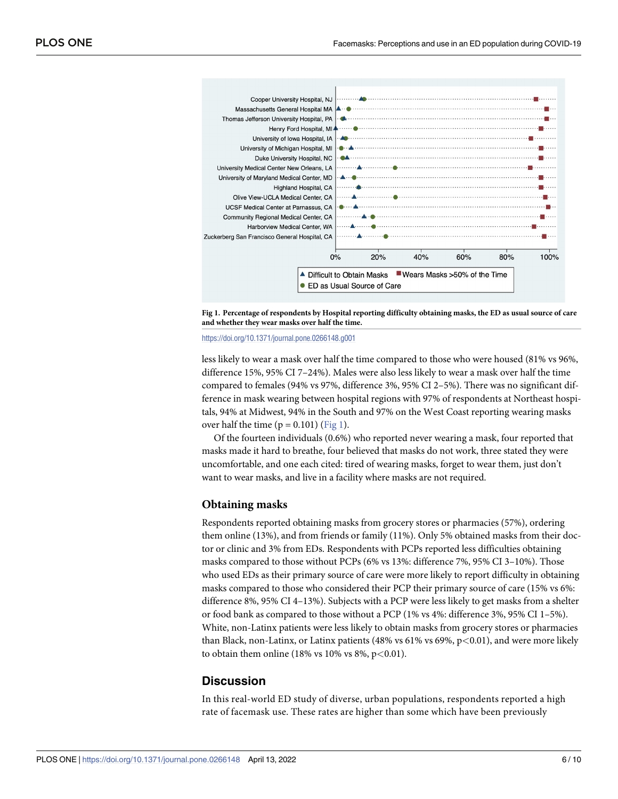



<https://doi.org/10.1371/journal.pone.0266148.g001>

less likely to wear a mask over half the time compared to those who were housed (81% vs 96%, difference 15%, 95% CI 7–24%). Males were also less likely to wear a mask over half the time compared to females (94% vs 97%, difference 3%, 95% CI 2–5%). There was no significant difference in mask wearing between hospital regions with 97% of respondents at Northeast hospitals, 94% at Midwest, 94% in the South and 97% on the West Coast reporting wearing masks over half the time  $(p = 0.101)$  (Fig 1).

Of the fourteen individuals (0.6%) who reported never wearing a mask, four reported that masks made it hard to breathe, four believed that masks do not work, three stated they were uncomfortable, and one each cited: tired of wearing masks, forget to wear them, just don't want to wear masks, and live in a facility where masks are not required.

#### **Obtaining masks**

Respondents reported obtaining masks from grocery stores or pharmacies (57%), ordering them online (13%), and from friends or family (11%). Only 5% obtained masks from their doctor or clinic and 3% from EDs. Respondents with PCPs reported less difficulties obtaining masks compared to those without PCPs (6% vs 13%: difference 7%, 95% CI 3–10%). Those who used EDs as their primary source of care were more likely to report difficulty in obtaining masks compared to those who considered their PCP their primary source of care (15% vs 6%: difference 8%, 95% CI 4–13%). Subjects with a PCP were less likely to get masks from a shelter or food bank as compared to those without a PCP (1% vs 4%: difference 3%, 95% CI 1–5%). White, non-Latinx patients were less likely to obtain masks from grocery stores or pharmacies than Black, non-Latinx, or Latinx patients (48% vs 61% vs 69%, p*<*0.01), and were more likely to obtain them online (18% vs 10% vs 8%, p*<*0.01).

#### **Discussion**

In this real-world ED study of diverse, urban populations, respondents reported a high rate of facemask use. These rates are higher than some which have been previously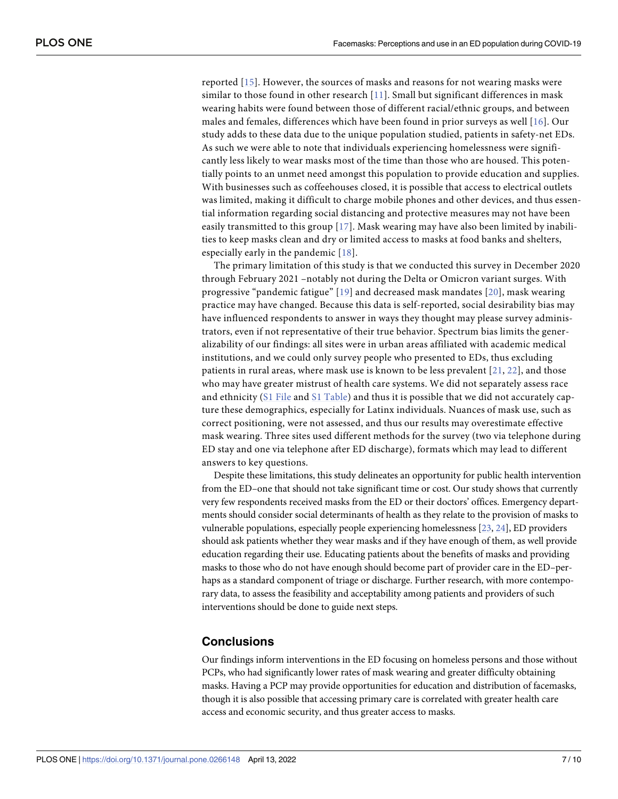<span id="page-8-0"></span>reported [[15](#page-10-0)]. However, the sources of masks and reasons for not wearing masks were similar to those found in other research [[11](#page-10-0)]. Small but significant differences in mask wearing habits were found between those of different racial/ethnic groups, and between males and females, differences which have been found in prior surveys as well [\[16](#page-10-0)]. Our study adds to these data due to the unique population studied, patients in safety-net EDs. As such we were able to note that individuals experiencing homelessness were significantly less likely to wear masks most of the time than those who are housed. This potentially points to an unmet need amongst this population to provide education and supplies. With businesses such as coffeehouses closed, it is possible that access to electrical outlets was limited, making it difficult to charge mobile phones and other devices, and thus essential information regarding social distancing and protective measures may not have been easily transmitted to this group  $[17]$  $[17]$ . Mask wearing may have also been limited by inabilities to keep masks clean and dry or limited access to masks at food banks and shelters, especially early in the pandemic [[18\]](#page-10-0).

The primary limitation of this study is that we conducted this survey in December 2020 through February 2021 –notably not during the Delta or Omicron variant surges. With progressive "pandemic fatigue" [\[19](#page-10-0)] and decreased mask mandates [[20\]](#page-10-0), mask wearing practice may have changed. Because this data is self-reported, social desirability bias may have influenced respondents to answer in ways they thought may please survey administrators, even if not representative of their true behavior. Spectrum bias limits the generalizability of our findings: all sites were in urban areas affiliated with academic medical institutions, and we could only survey people who presented to EDs, thus excluding patients in rural areas, where mask use is known to be less prevalent [[21](#page-10-0), [22\]](#page-11-0), and those who may have greater mistrust of health care systems. We did not separately assess race and ethnicity (S1 [File](#page-9-0) and S1 [Table](#page-9-0)) and thus it is possible that we did not accurately capture these demographics, especially for Latinx individuals. Nuances of mask use, such as correct positioning, were not assessed, and thus our results may overestimate effective mask wearing. Three sites used different methods for the survey (two via telephone during ED stay and one via telephone after ED discharge), formats which may lead to different answers to key questions.

Despite these limitations, this study delineates an opportunity for public health intervention from the ED–one that should not take significant time or cost. Our study shows that currently very few respondents received masks from the ED or their doctors' offices. Emergency departments should consider social determinants of health as they relate to the provision of masks to vulnerable populations, especially people experiencing homelessness [\[23,](#page-11-0) [24\]](#page-11-0), ED providers should ask patients whether they wear masks and if they have enough of them, as well provide education regarding their use. Educating patients about the benefits of masks and providing masks to those who do not have enough should become part of provider care in the ED–perhaps as a standard component of triage or discharge. Further research, with more contemporary data, to assess the feasibility and acceptability among patients and providers of such interventions should be done to guide next steps.

#### **Conclusions**

Our findings inform interventions in the ED focusing on homeless persons and those without PCPs, who had significantly lower rates of mask wearing and greater difficulty obtaining masks. Having a PCP may provide opportunities for education and distribution of facemasks, though it is also possible that accessing primary care is correlated with greater health care access and economic security, and thus greater access to masks.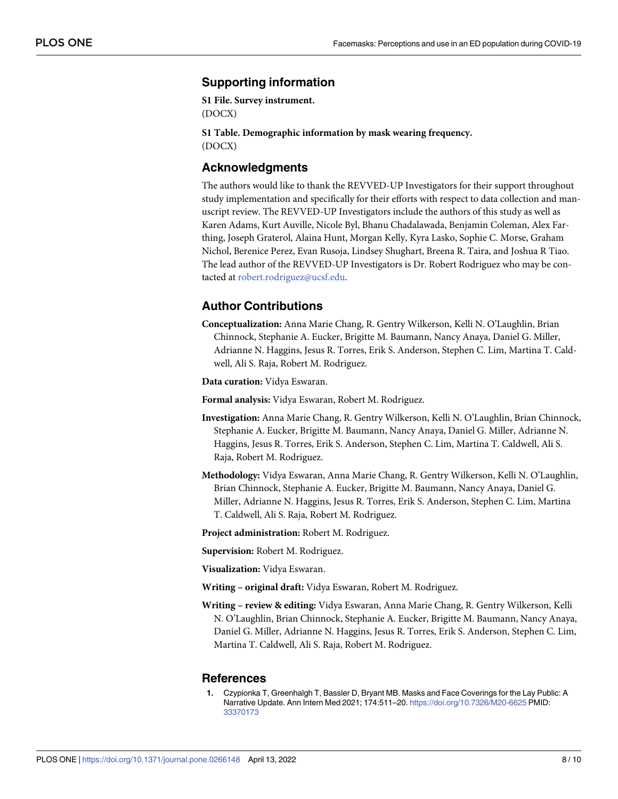#### <span id="page-9-0"></span>**Supporting information**

**S1 [File.](http://www.plosone.org/article/fetchSingleRepresentation.action?uri=info:doi/10.1371/journal.pone.0266148.s001) Survey instrument.** (DOCX)

**S1 [Table.](http://www.plosone.org/article/fetchSingleRepresentation.action?uri=info:doi/10.1371/journal.pone.0266148.s002) Demographic information by mask wearing frequency.** (DOCX)

#### **Acknowledgments**

The authors would like to thank the REVVED-UP Investigators for their support throughout study implementation and specifically for their efforts with respect to data collection and manuscript review. The REVVED-UP Investigators include the authors of this study as well as Karen Adams, Kurt Auville, Nicole Byl, Bhanu Chadalawada, Benjamin Coleman, Alex Farthing, Joseph Graterol, Alaina Hunt, Morgan Kelly, Kyra Lasko, Sophie C. Morse, Graham Nichol, Berenice Perez, Evan Rusoja, Lindsey Shughart, Breena R. Taira, and Joshua R Tiao. The lead author of the REVVED-UP Investigators is Dr. Robert Rodriguez who may be contacted at robert.rodriguez@ucsf.edu.

#### **Author Contributions**

**Conceptualization:** Anna Marie Chang, R. Gentry Wilkerson, Kelli N. O'Laughlin, Brian Chinnock, Stephanie A. Eucker, Brigitte M. Baumann, Nancy Anaya, Daniel G. Miller, Adrianne N. Haggins, Jesus R. Torres, Erik S. Anderson, Stephen C. Lim, Martina T. Caldwell, Ali S. Raja, Robert M. Rodriguez.

**Data curation:** Vidya Eswaran.

**Formal analysis:** Vidya Eswaran, Robert M. Rodriguez.

- **Investigation:** Anna Marie Chang, R. Gentry Wilkerson, Kelli N. O'Laughlin, Brian Chinnock, Stephanie A. Eucker, Brigitte M. Baumann, Nancy Anaya, Daniel G. Miller, Adrianne N. Haggins, Jesus R. Torres, Erik S. Anderson, Stephen C. Lim, Martina T. Caldwell, Ali S. Raja, Robert M. Rodriguez.
- **Methodology:** Vidya Eswaran, Anna Marie Chang, R. Gentry Wilkerson, Kelli N. O'Laughlin, Brian Chinnock, Stephanie A. Eucker, Brigitte M. Baumann, Nancy Anaya, Daniel G. Miller, Adrianne N. Haggins, Jesus R. Torres, Erik S. Anderson, Stephen C. Lim, Martina T. Caldwell, Ali S. Raja, Robert M. Rodriguez.

**Project administration:** Robert M. Rodriguez.

**Supervision:** Robert M. Rodriguez.

**Visualization:** Vidya Eswaran.

**Writing – original draft:** Vidya Eswaran, Robert M. Rodriguez.

**Writing – review & editing:** Vidya Eswaran, Anna Marie Chang, R. Gentry Wilkerson, Kelli N. O'Laughlin, Brian Chinnock, Stephanie A. Eucker, Brigitte M. Baumann, Nancy Anaya, Daniel G. Miller, Adrianne N. Haggins, Jesus R. Torres, Erik S. Anderson, Stephen C. Lim, Martina T. Caldwell, Ali S. Raja, Robert M. Rodriguez.

#### **References**

**[1](#page-3-0).** Czypionka T, Greenhalgh T, Bassler D, Bryant MB. Masks and Face Coverings for the Lay Public: A Narrative Update. Ann Intern Med 2021; 174:511–20. <https://doi.org/10.7326/M20-6625> PMID: [33370173](http://www.ncbi.nlm.nih.gov/pubmed/33370173)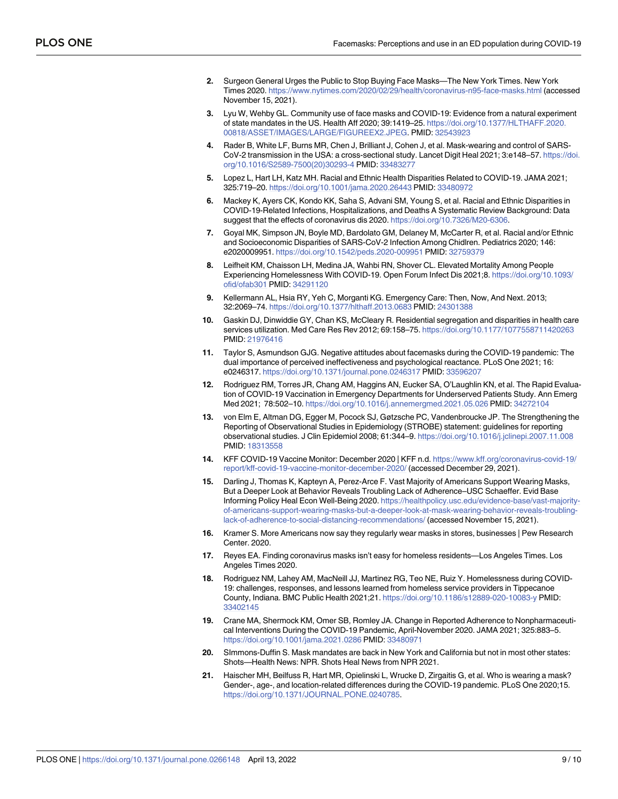- <span id="page-10-0"></span>**[2](#page-3-0).** Surgeon General Urges the Public to Stop Buying Face Masks—The New York Times. New York Times 2020. <https://www.nytimes.com/2020/02/29/health/coronavirus-n95-face-masks.html> (accessed November 15, 2021).
- **[3](#page-3-0).** Lyu W, Wehby GL. Community use of face masks and COVID-19: Evidence from a natural experiment of state mandates in the US. Health Aff 2020; 39:1419–25. [https://doi.org/10.1377/HLTHAFF.2020.](https://doi.org/10.1377/HLTHAFF.2020.00818/ASSET/IMAGES/LARGE/FIGUREEX2.JPEG) [00818/ASSET/IMAGES/LARGE/FIGUREEX2.JPEG](https://doi.org/10.1377/HLTHAFF.2020.00818/ASSET/IMAGES/LARGE/FIGUREEX2.JPEG). PMID: [32543923](http://www.ncbi.nlm.nih.gov/pubmed/32543923)
- **[4](#page-3-0).** Rader B, White LF, Burns MR, Chen J, Brilliant J, Cohen J, et al. Mask-wearing and control of SARS-CoV-2 transmission in the USA: a cross-sectional study. Lancet Digit Heal 2021; 3:e148–57. [https://doi.](https://doi.org/10.1016/S2589-7500%2820%2930293-4) [org/10.1016/S2589-7500\(20\)30293-4](https://doi.org/10.1016/S2589-7500%2820%2930293-4) PMID: [33483277](http://www.ncbi.nlm.nih.gov/pubmed/33483277)
- **[5](#page-3-0).** Lopez L, Hart LH, Katz MH. Racial and Ethnic Health Disparities Related to COVID-19. JAMA 2021; 325:719–20. <https://doi.org/10.1001/jama.2020.26443> PMID: [33480972](http://www.ncbi.nlm.nih.gov/pubmed/33480972)
- **[6](#page-3-0).** Mackey K, Ayers CK, Kondo KK, Saha S, Advani SM, Young S, et al. Racial and Ethnic Disparities in COVID-19-Related Infections, Hospitalizations, and Deaths A Systematic Review Background: Data suggest that the effects of coronavirus dis 2020. <https://doi.org/10.7326/M20-6306>.
- **[7](#page-3-0).** Goyal MK, Simpson JN, Boyle MD, Bardolato GM, Delaney M, McCarter R, et al. Racial and/or Ethnic and Socioeconomic Disparities of SARS-CoV-2 Infection Among Chidlren. Pediatrics 2020; 146: e2020009951. <https://doi.org/10.1542/peds.2020-009951> PMID: [32759379](http://www.ncbi.nlm.nih.gov/pubmed/32759379)
- **[8](#page-3-0).** Leifheit KM, Chaisson LH, Medina JA, Wahbi RN, Shover CL. Elevated Mortality Among People Experiencing Homelessness With COVID-19. Open Forum Infect Dis 2021;8. [https://doi.org/10.1093/](https://doi.org/10.1093/ofid/ofab301) [ofid/ofab301](https://doi.org/10.1093/ofid/ofab301) PMID: [34291120](http://www.ncbi.nlm.nih.gov/pubmed/34291120)
- **[9](#page-3-0).** Kellermann AL, Hsia RY, Yeh C, Morganti KG. Emergency Care: Then, Now, And Next. 2013; 32:2069–74. <https://doi.org/10.1377/hlthaff.2013.0683> PMID: [24301388](http://www.ncbi.nlm.nih.gov/pubmed/24301388)
- **[10](#page-3-0).** Gaskin DJ, Dinwiddie GY, Chan KS, McCleary R. Residential segregation and disparities in health care services utilization. Med Care Res Rev 2012; 69:158–75. <https://doi.org/10.1177/1077558711420263> PMID: [21976416](http://www.ncbi.nlm.nih.gov/pubmed/21976416)
- **[11](#page-3-0).** Taylor S, Asmundson GJG. Negative attitudes about facemasks during the COVID-19 pandemic: The dual importance of perceived ineffectiveness and psychological reactance. PLoS One 2021; 16: e0246317. <https://doi.org/10.1371/journal.pone.0246317> PMID: [33596207](http://www.ncbi.nlm.nih.gov/pubmed/33596207)
- **[12](#page-3-0).** Rodriguez RM, Torres JR, Chang AM, Haggins AN, Eucker SA, O'Laughlin KN, et al. The Rapid Evaluation of COVID-19 Vaccination in Emergency Departments for Underserved Patients Study. Ann Emerg Med 2021; 78:502–10. <https://doi.org/10.1016/j.annemergmed.2021.05.026> PMID: [34272104](http://www.ncbi.nlm.nih.gov/pubmed/34272104)
- **[13](#page-3-0).** von Elm E, Altman DG, Egger M, Pocock SJ, Gøtzsche PC, Vandenbroucke JP. The Strengthening the Reporting of Observational Studies in Epidemiology (STROBE) statement: guidelines for reporting observational studies. J Clin Epidemiol 2008; 61:344–9. <https://doi.org/10.1016/j.jclinepi.2007.11.008> PMID: [18313558](http://www.ncbi.nlm.nih.gov/pubmed/18313558)
- **[14](#page-4-0).** KFF COVID-19 Vaccine Monitor: December 2020 | KFF n.d. [https://www.kff.org/coronavirus-covid-19/](https://www.kff.org/coronavirus-covid-19/report/kff-covid-19-vaccine-monitor-december-2020/) [report/kff-covid-19-vaccine-monitor-december-2020/](https://www.kff.org/coronavirus-covid-19/report/kff-covid-19-vaccine-monitor-december-2020/) (accessed December 29, 2021).
- **[15](#page-8-0).** Darling J, Thomas K, Kapteyn A, Perez-Arce F. Vast Majority of Americans Support Wearing Masks, But a Deeper Look at Behavior Reveals Troubling Lack of Adherence–USC Schaeffer. Evid Base Informing Policy Heal Econ Well-Being 2020. [https://healthpolicy.usc.edu/evidence-base/vast-majority](https://healthpolicy.usc.edu/evidence-base/vast-majority-of-americans-support-wearing-masks-but-a-deeper-look-at-mask-wearing-behavior-reveals-troubling-lack-of-adherence-to-social-distancing-recommendations/)[of-americans-support-wearing-masks-but-a-deeper-look-at-mask-wearing-behavior-reveals-troubling](https://healthpolicy.usc.edu/evidence-base/vast-majority-of-americans-support-wearing-masks-but-a-deeper-look-at-mask-wearing-behavior-reveals-troubling-lack-of-adherence-to-social-distancing-recommendations/)[lack-of-adherence-to-social-distancing-recommendations/](https://healthpolicy.usc.edu/evidence-base/vast-majority-of-americans-support-wearing-masks-but-a-deeper-look-at-mask-wearing-behavior-reveals-troubling-lack-of-adherence-to-social-distancing-recommendations/) (accessed November 15, 2021).
- **[16](#page-8-0).** Kramer S. More Americans now say they regularly wear masks in stores, businesses | Pew Research Center. 2020.
- **[17](#page-8-0).** Reyes EA. Finding coronavirus masks isn't easy for homeless residents—Los Angeles Times. Los Angeles Times 2020.
- **[18](#page-8-0).** Rodriguez NM, Lahey AM, MacNeill JJ, Martinez RG, Teo NE, Ruiz Y. Homelessness during COVID-19: challenges, responses, and lessons learned from homeless service providers in Tippecanoe County, Indiana. BMC Public Health 2021;21. <https://doi.org/10.1186/s12889-020-10083-y> PMID: [33402145](http://www.ncbi.nlm.nih.gov/pubmed/33402145)
- **[19](#page-8-0).** Crane MA, Shermock KM, Omer SB, Romley JA. Change in Reported Adherence to Nonpharmaceutical Interventions During the COVID-19 Pandemic, April-November 2020. JAMA 2021; 325:883–5. <https://doi.org/10.1001/jama.2021.0286> PMID: [33480971](http://www.ncbi.nlm.nih.gov/pubmed/33480971)
- **[20](#page-8-0).** SImmons-Duffin S. Mask mandates are back in New York and California but not in most other states: Shots—Health News: NPR. Shots Heal News from NPR 2021.
- **[21](#page-8-0).** Haischer MH, Beilfuss R, Hart MR, Opielinski L, Wrucke D, Zirgaitis G, et al. Who is wearing a mask? Gender-, age-, and location-related differences during the COVID-19 pandemic. PLoS One 2020;15. <https://doi.org/10.1371/JOURNAL.PONE.0240785>.